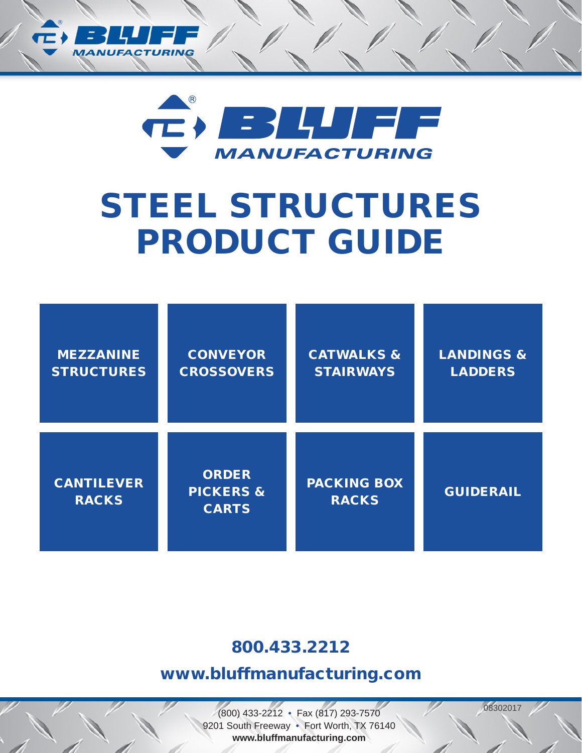



# STEEL STRUCTURES PRODUCT GUIDE

| <b>MEZZANINE</b>                  | <b>CONVEYOR</b>                                      | <b>CATWALKS &amp;</b>              | <b>LANDINGS &amp;</b> |
|-----------------------------------|------------------------------------------------------|------------------------------------|-----------------------|
| <b>STRUCTURES</b>                 | <b>CROSSOVERS</b>                                    | <b>STAIRWAYS</b>                   | <b>LADDERS</b>        |
| <b>CANTILEVER</b><br><b>RACKS</b> | <b>ORDER</b><br><b>PICKERS &amp;</b><br><b>CARTS</b> | <b>PACKING BOX</b><br><b>RACKS</b> | <b>GUIDERAIL</b>      |

# 800.433.2212

# www.bluffmanufacturing.com

<sup>08302017</sup> (800) 433-2212 • Fax (817) 293-7570 9201 South Freeway • Fort Worth, TX 76140 **www.bluffmanufacturing.com**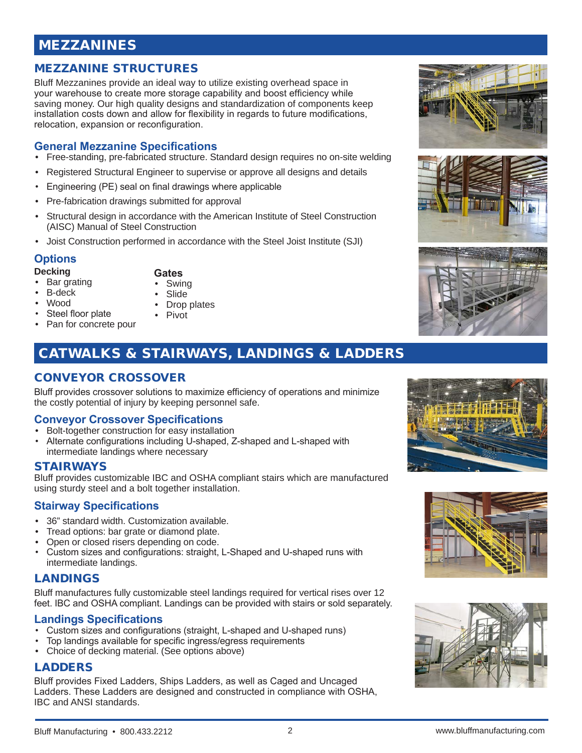# MEZZANINES

# MEZZANINE STRUCTURES

Bluff Mezzanines provide an ideal way to utilize existing overhead space in your warehouse to create more storage capability and boost efficiency while saving money. Our high quality designs and standardization of components keep installation costs down and allow for flexibility in regards to future modifications, relocation, expansion or reconfiguration.

# **General Mezzanine Specifications**

- Free-standing, pre-fabricated structure. Standard design requires no on-site welding
- Registered Structural Engineer to supervise or approve all designs and details
- Engineering (PE) seal on final drawings where applicable
- Pre-fabrication drawings submitted for approval
- Structural design in accordance with the American Institute of Steel Construction (AISC) Manual of Steel Construction
- Joist Construction performed in accordance with the Steel Joist Institute (SJI)

#### **Options**

#### **Decking**

- Bar grating
- **Swing**
- B-deck • Wood
- **Slide**

**Gates**

- Drop plates • Pivot
- Steel floor plate Pan for concrete pour
	-

# CATWALKS & STAIRWAYS, LANDINGS & LADDERS

# CONVEYOR CROSSOVER

Bluff provides crossover solutions to maximize efficiency of operations and minimize the costly potential of injury by keeping personnel safe.

# **Conveyor Crossover Specifications**

- Bolt-together construction for easy installation
- Alternate configurations including U-shaped, Z-shaped and L-shaped with intermediate landings where necessary

#### STAIRWAYS

Bluff provides customizable IBC and OSHA compliant stairs which are manufactured using sturdy steel and a bolt together installation.

# **Stairway Specifications**

- 36" standard width. Customization available.
- Tread options: bar grate or diamond plate.
- Open or closed risers depending on code.
- Custom sizes and configurations: straight, L-Shaped and U-shaped runs with intermediate landings.

# LANDINGS

Bluff manufactures fully customizable steel landings required for vertical rises over 12 feet. IBC and OSHA compliant. Landings can be provided with stairs or sold separately.

# **Landings Specifications**

- Custom sizes and configurations (straight, L-shaped and U-shaped runs)
- Top landings available for specific ingress/egress requirements
- Choice of decking material. (See options above)

# LADDERS

Bluff provides Fixed Ladders, Ships Ladders, as well as Caged and Uncaged Ladders. These Ladders are designed and constructed in compliance with OSHA, IBC and ANSI standards.













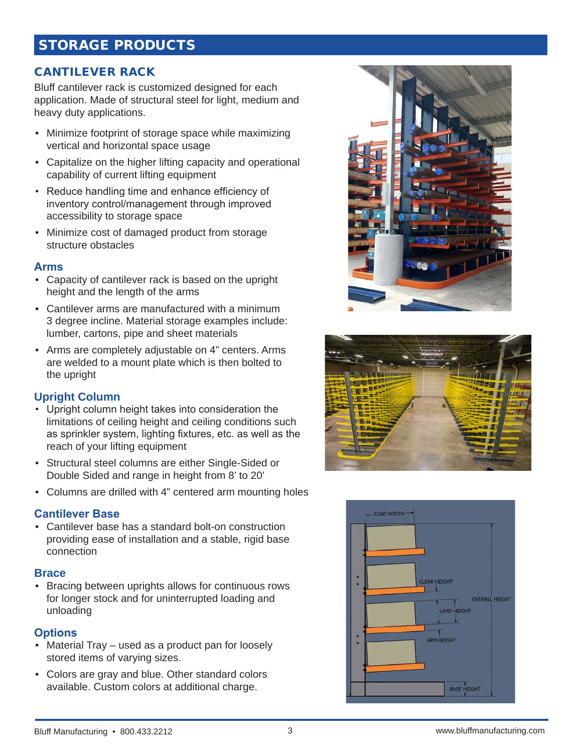# STORAGE PRODUCTS

# CANTILEVER RACK

Bluff cantilever rack is customized designed for each application. Made of structural steel for light, medium and heavy duty applications.

- Minimize footprint of storage space while maximizing vertical and horizontal space usage
- Capitalize on the higher lifting capacity and operational capability of current lifting equipment
- Reduce handling time and enhance efficiency of inventory control/management through improved accessibility to storage space
- Minimize cost of damaged product from storage structure obstacles

#### **Arms**

- Capacity of cantilever rack is based on the upright height and the length of the arms
- Cantilever arms are manufactured with a minimum 3 degree incline. Material storage examples include: lumber, cartons, pipe and sheet materials
- Arms are completely adjustable on 4" centers. Arms are welded to a mount plate which is then bolted to the upright

# **Upright Column**

- Upright column height takes into consideration the limitations of ceiling height and ceiling conditions such as sprinkler system, lighting fixtures, etc. as well as the reach of your lifting equipment
- Structural steel columns are either Single-Sided or Double Sided and range in height from 8' to 20'
- Columns are drilled with 4" centered arm mounting holes

# **Cantilever Base**

• Cantilever base has a standard bolt-on construction providing ease of installation and a stable, rigid base connection

#### **Brace**

• Bracing between uprights allows for continuous rows for longer stock and for uninterrupted loading and unloading

# **Options**

- Material Tray used as a product pan for loosely stored items of varying sizes.
- Colors are gray and blue. Other standard colors available. Custom colors at additional charge.